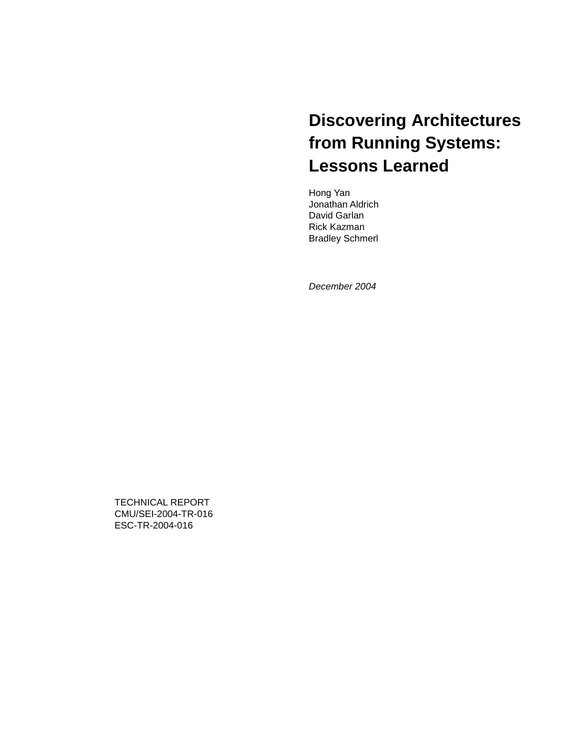## **Discovering Architectures from Running Systems: Lessons Learned**

Hong Yan Jonathan Aldrich David Garlan Rick Kazman Bradley Schmerl

*December 2004* 

TECHNICAL REPORT CMU/SEI-2004-TR-016 ESC-TR-2004-016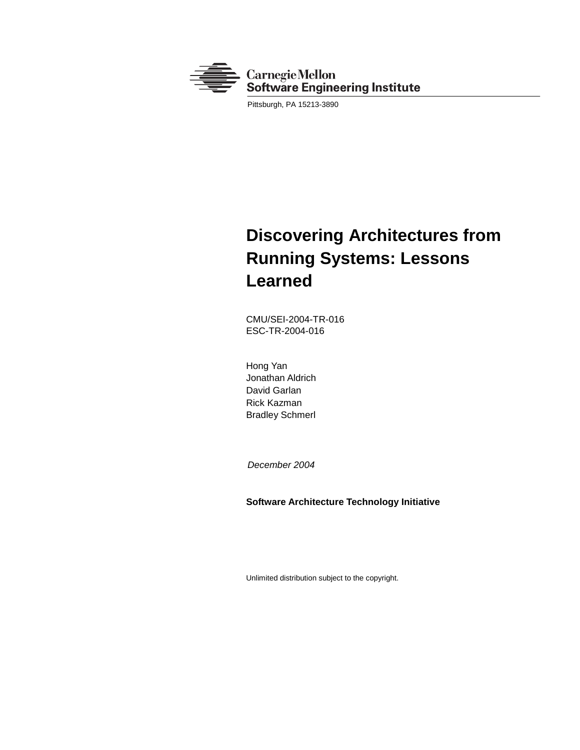

Pittsburgh, PA 15213-3890

## **Discovering Architectures from Running Systems: Lessons Learned**

CMU/SEI-2004-TR-016 ESC-TR-2004-016

Hong Yan Jonathan Aldrich David Garlan Rick Kazman Bradley Schmerl

 *December 2004* 

**Software Architecture Technology Initiative** 

Unlimited distribution subject to the copyright.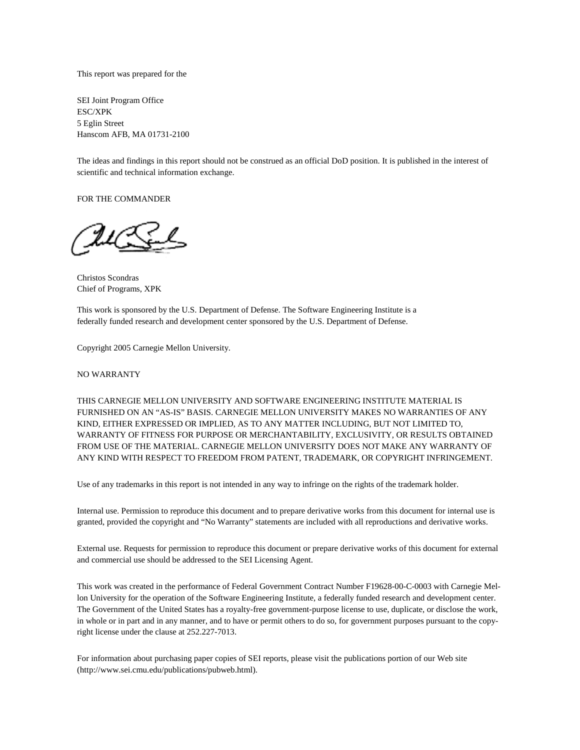This report was prepared for the

SEI Joint Program Office ESC/XPK 5 Eglin Street Hanscom AFB, MA 01731-2100

The ideas and findings in this report should not be construed as an official DoD position. It is published in the interest of scientific and technical information exchange.

FOR THE COMMANDER

Christos Scondras Chief of Programs, XPK

This work is sponsored by the U.S. Department of Defense. The Software Engineering Institute is a federally funded research and development center sponsored by the U.S. Department of Defense.

Copyright 2005 Carnegie Mellon University.

NO WARRANTY

THIS CARNEGIE MELLON UNIVERSITY AND SOFTWARE ENGINEERING INSTITUTE MATERIAL IS FURNISHED ON AN "AS-IS" BASIS. CARNEGIE MELLON UNIVERSITY MAKES NO WARRANTIES OF ANY KIND, EITHER EXPRESSED OR IMPLIED, AS TO ANY MATTER INCLUDING, BUT NOT LIMITED TO, WARRANTY OF FITNESS FOR PURPOSE OR MERCHANTABILITY, EXCLUSIVITY, OR RESULTS OBTAINED FROM USE OF THE MATERIAL. CARNEGIE MELLON UNIVERSITY DOES NOT MAKE ANY WARRANTY OF ANY KIND WITH RESPECT TO FREEDOM FROM PATENT, TRADEMARK, OR COPYRIGHT INFRINGEMENT.

Use of any trademarks in this report is not intended in any way to infringe on the rights of the trademark holder.

Internal use. Permission to reproduce this document and to prepare derivative works from this document for internal use is granted, provided the copyright and "No Warranty" statements are included with all reproductions and derivative works.

External use. Requests for permission to reproduce this document or prepare derivative works of this document for external and commercial use should be addressed to the SEI Licensing Agent.

This work was created in the performance of Federal Government Contract Number F19628-00-C-0003 with Carnegie Mellon University for the operation of the Software Engineering Institute, a federally funded research and development center. The Government of the United States has a royalty-free government-purpose license to use, duplicate, or disclose the work, in whole or in part and in any manner, and to have or permit others to do so, for government purposes pursuant to the copyright license under the clause at 252.227-7013.

For information about purchasing paper copies of SEI reports, please visit the publications portion of our Web site [\(http://www.sei.cmu.edu/publications/pubweb.htm](http://www.sei.cmu.edu/publications/pubweb.html)l).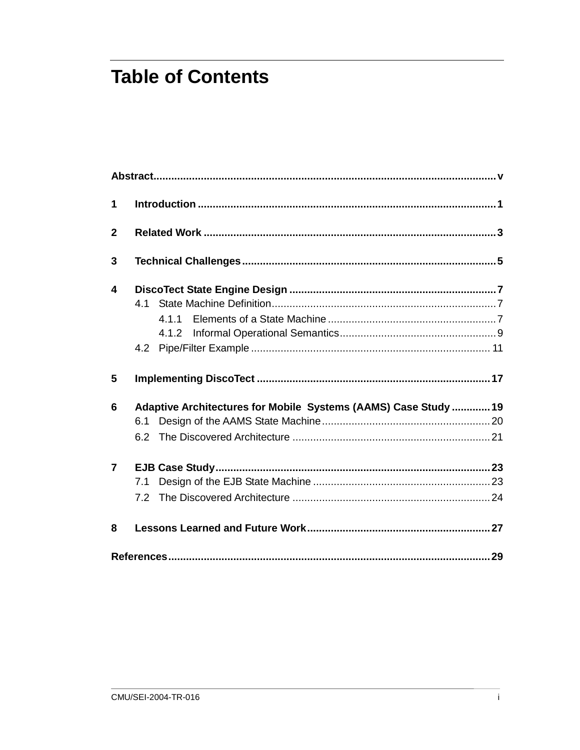# **Table of Contents**

| 1              |                                                                        |  |
|----------------|------------------------------------------------------------------------|--|
| $\mathbf{2}$   |                                                                        |  |
| 3              |                                                                        |  |
| 4              | 4.1.1<br>4.1.2                                                         |  |
| 5              |                                                                        |  |
| 6              | Adaptive Architectures for Mobile Systems (AAMS) Case Study  19<br>6.1 |  |
| $\overline{7}$ | 7.1<br>7.2                                                             |  |
| 8              |                                                                        |  |
|                |                                                                        |  |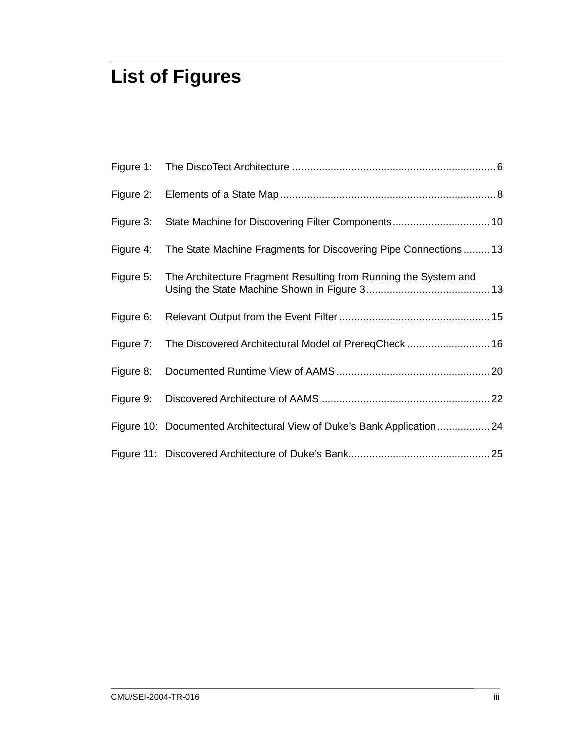# **List of Figures**

|           | Figure 4: The State Machine Fragments for Discovering Pipe Connections13 |
|-----------|--------------------------------------------------------------------------|
| Figure 5: | The Architecture Fragment Resulting from Running the System and          |
| Figure 6: |                                                                          |
|           | Figure 7: The Discovered Architectural Model of PrereqCheck  16          |
|           |                                                                          |
|           |                                                                          |
|           | Figure 10: Documented Architectural View of Duke's Bank Application24    |
|           |                                                                          |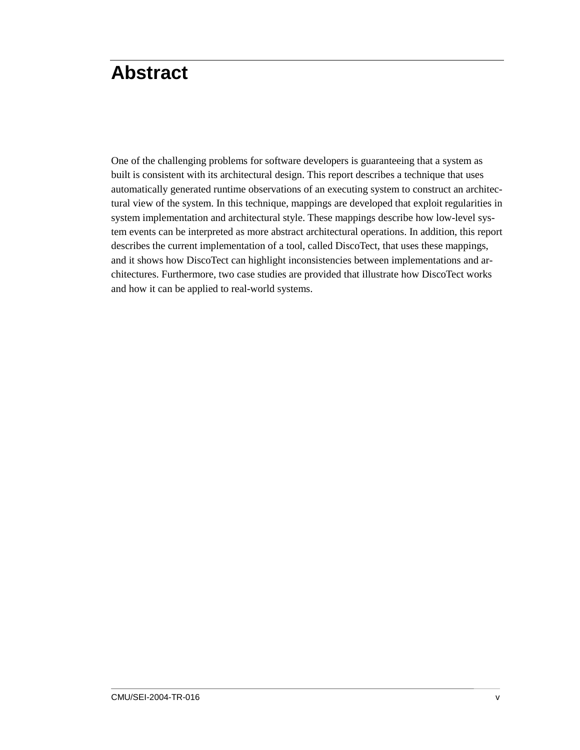## **Abstract**

One of the challenging problems for software developers is guaranteeing that a system as built is consistent with its architectural design. This report describes a technique that uses automatically generated runtime observations of an executing system to construct an architectural view of the system. In this technique, mappings are developed that exploit regularities in system implementation and architectural style. These mappings describe how low-level system events can be interpreted as more abstract architectural operations. In addition, this report describes the current implementation of a tool, called DiscoTect, that uses these mappings, and it shows how DiscoTect can highlight inconsistencies between implementations and architectures. Furthermore, two case studies are provided that illustrate how DiscoTect works and how it can be applied to real-world systems.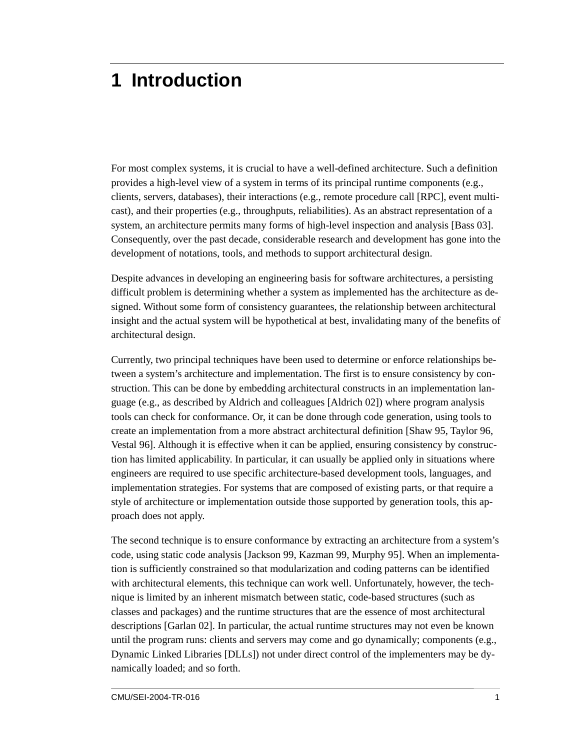## **1 Introduction**

For most complex systems, it is crucial to have a well-defined architecture. Such a definition provides a high-level view of a system in terms of its principal runtime components (e.g., clients, servers, databases), their interactions (e.g., remote procedure call [RPC], event multicast), and their properties (e.g., throughputs, reliabilities). As an abstract representation of a system, an architecture permits many forms of high-level inspection and analysis [Bass 03]. Consequently, over the past decade, considerable research and development has gone into the development of notations, tools, and methods to support architectural design.

Despite advances in developing an engineering basis for software architectures, a persisting difficult problem is determining whether a system as implemented has the architecture as designed. Without some form of consistency guarantees, the relationship between architectural insight and the actual system will be hypothetical at best, invalidating many of the benefits of architectural design.

Currently, two principal techniques have been used to determine or enforce relationships between a system's architecture and implementation. The first is to ensure consistency by construction. This can be done by embedding architectural constructs in an implementation language (e.g., as described by Aldrich and colleagues [Aldrich 02]) where program analysis tools can check for conformance. Or, it can be done through code generation, using tools to create an implementation from a more abstract architectural definition [Shaw 95, Taylor 96, Vestal 96]. Although it is effective when it can be applied, ensuring consistency by construction has limited applicability. In particular, it can usually be applied only in situations where engineers are required to use specific architecture-based development tools, languages, and implementation strategies. For systems that are composed of existing parts, or that require a style of architecture or implementation outside those supported by generation tools, this approach does not apply.

The second technique is to ensure conformance by extracting an architecture from a system's code, using static code analysis [Jackson 99, Kazman 99, Murphy 95]. When an implementation is sufficiently constrained so that modularization and coding patterns can be identified with architectural elements, this technique can work well. Unfortunately, however, the technique is limited by an inherent mismatch between static, code-based structures (such as classes and packages) and the runtime structures that are the essence of most architectural descriptions [Garlan 02]. In particular, the actual runtime structures may not even be known until the program runs: clients and servers may come and go dynamically; components (e.g., Dynamic Linked Libraries [DLLs]) not under direct control of the implementers may be dynamically loaded; and so forth.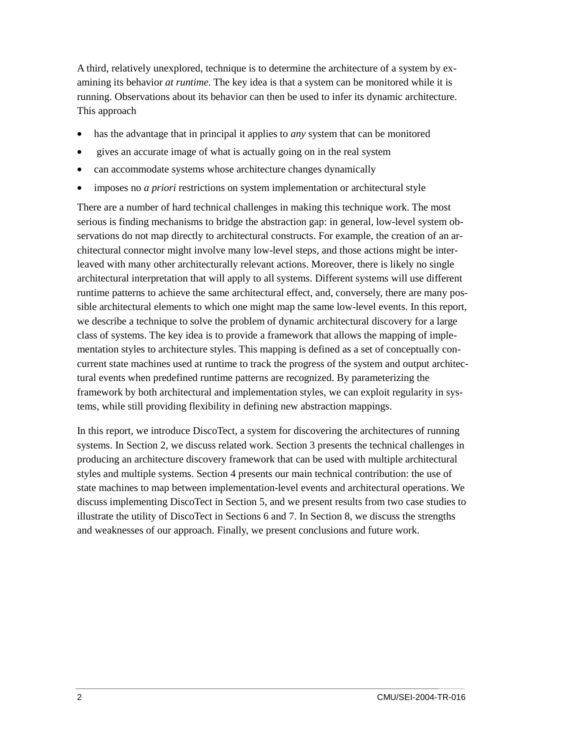A third, relatively unexplored, technique is to determine the architecture of a system by examining its behavior *at runtime.* The key idea is that a system can be monitored while it is running. Observations about its behavior can then be used to infer its dynamic architecture. This approach

- has the advantage that in principal it applies to *any* system that can be monitored
- gives an accurate image of what is actually going on in the real system
- can accommodate systems whose architecture changes dynamically
- imposes no *a priori* restrictions on system implementation or architectural style

There are a number of hard technical challenges in making this technique work. The most serious is finding mechanisms to bridge the abstraction gap: in general, low-level system observations do not map directly to architectural constructs. For example, the creation of an architectural connector might involve many low-level steps, and those actions might be interleaved with many other architecturally relevant actions. Moreover, there is likely no single architectural interpretation that will apply to all systems. Different systems will use different runtime patterns to achieve the same architectural effect, and, conversely, there are many possible architectural elements to which one might map the same low-level events. In this report, we describe a technique to solve the problem of dynamic architectural discovery for a large class of systems. The key idea is to provide a framework that allows the mapping of implementation styles to architecture styles. This mapping is defined as a set of conceptually concurrent state machines used at runtime to track the progress of the system and output architectural events when predefined runtime patterns are recognized. By parameterizing the framework by both architectural and implementation styles, we can exploit regularity in systems, while still providing flexibility in defining new abstraction mappings.

In this report, we introduce DiscoTect, a system for discovering the architectures of running systems. In Section 2, we discuss related work. Section 3 presents the technical challenges in producing an architecture discovery framework that can be used with multiple architectural styles and multiple systems. Section 4 presents our main technical contribution: the use of state machines to map between implementation-level events and architectural operations. We discuss implementing DiscoTect in Section 5, and we present results from two case studies to illustrate the utility of DiscoTect in Sections 6 and 7. In Section 8, we discuss the strengths and weaknesses of our approach. Finally, we present conclusions and future work.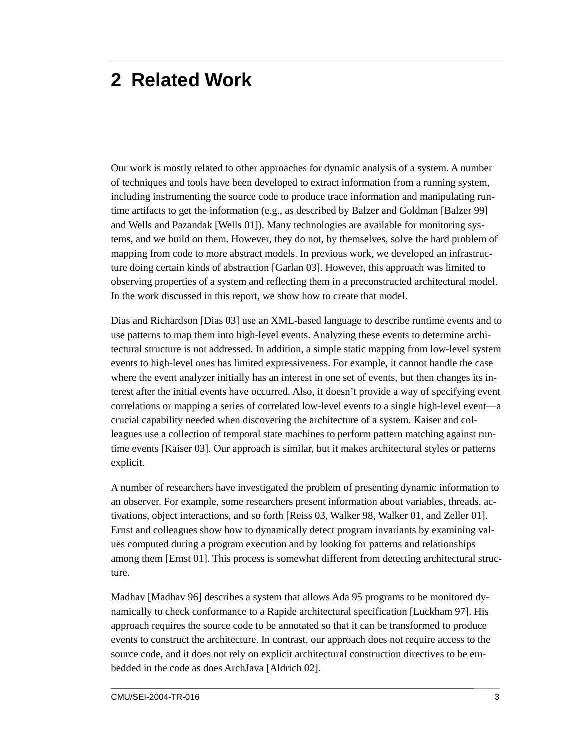# **2 Related Work**

Our work is mostly related to other approaches for dynamic analysis of a system. A number of techniques and tools have been developed to extract information from a running system, including instrumenting the source code to produce trace information and manipulating runtime artifacts to get the information (e.g., as described by Balzer and Goldman [Balzer 99] and Wells and Pazandak [Wells 01]). Many technologies are available for monitoring systems, and we build on them. However, they do not, by themselves, solve the hard problem of mapping from code to more abstract models. In previous work, we developed an infrastructure doing certain kinds of abstraction [Garlan 03]. However, this approach was limited to observing properties of a system and reflecting them in a preconstructed architectural model. In the work discussed in this report, we show how to create that model.

Dias and Richardson [Dias 03] use an XML-based language to describe runtime events and to use patterns to map them into high-level events. Analyzing these events to determine architectural structure is not addressed. In addition, a simple static mapping from low-level system events to high-level ones has limited expressiveness. For example, it cannot handle the case where the event analyzer initially has an interest in one set of events, but then changes its interest after the initial events have occurred. Also, it doesn't provide a way of specifying event correlations or mapping a series of correlated low-level events to a single high-level event—a crucial capability needed when discovering the architecture of a system. Kaiser and colleagues use a collection of temporal state machines to perform pattern matching against runtime events [Kaiser 03]. Our approach is similar, but it makes architectural styles or patterns explicit.

A number of researchers have investigated the problem of presenting dynamic information to an observer. For example, some researchers present information about variables, threads, activations, object interactions, and so forth [Reiss 03, Walker 98, Walker 01, and Zeller 01]. Ernst and colleagues show how to dynamically detect program invariants by examining values computed during a program execution and by looking for patterns and relationships among them [Ernst 01]. This process is somewhat different from detecting architectural structure.

Madhav [Madhav 96] describes a system that allows Ada 95 programs to be monitored dynamically to check conformance to a Rapide architectural specification [Luckham 97]. His approach requires the source code to be annotated so that it can be transformed to produce events to construct the architecture. In contrast, our approach does not require access to the source code, and it does not rely on explicit architectural construction directives to be embedded in the code as does ArchJava [Aldrich 02].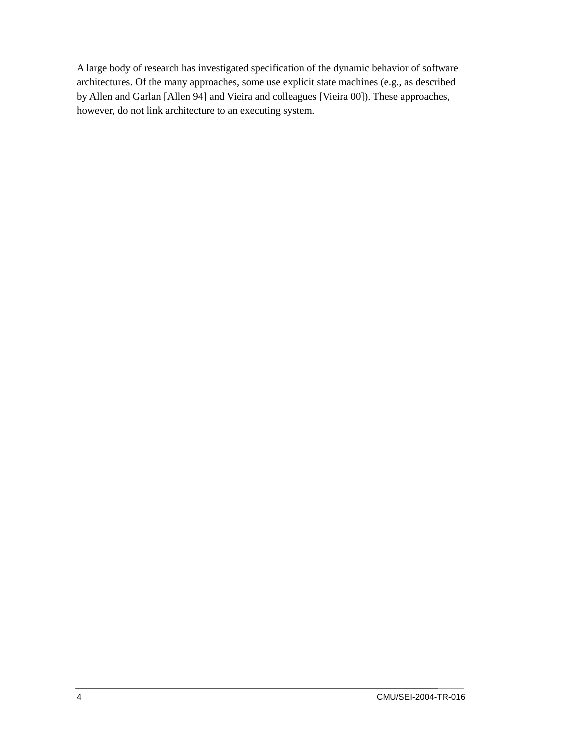A large body of research has investigated specification of the dynamic behavior of software architectures. Of the many approaches, some use explicit state machines (e.g., as described by Allen and Garlan [Allen 94] and Vieira and colleagues [Vieira 00]). These approaches, however, do not link architecture to an executing system.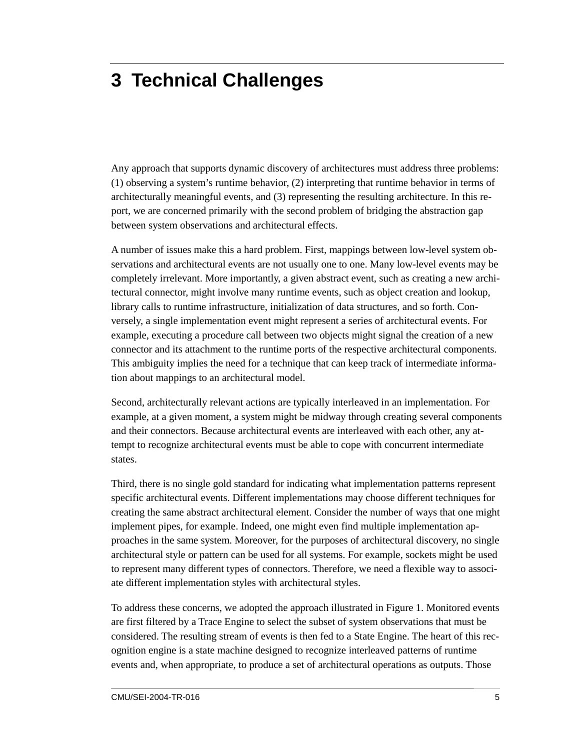# **3 Technical Challenges**

Any approach that supports dynamic discovery of architectures must address three problems: (1) observing a system's runtime behavior, (2) interpreting that runtime behavior in terms of architecturally meaningful events, and (3) representing the resulting architecture. In this report, we are concerned primarily with the second problem of bridging the abstraction gap between system observations and architectural effects.

A number of issues make this a hard problem. First, mappings between low-level system observations and architectural events are not usually one to one. Many low-level events may be completely irrelevant. More importantly, a given abstract event, such as creating a new architectural connector, might involve many runtime events, such as object creation and lookup, library calls to runtime infrastructure, initialization of data structures, and so forth. Conversely, a single implementation event might represent a series of architectural events. For example, executing a procedure call between two objects might signal the creation of a new connector and its attachment to the runtime ports of the respective architectural components. This ambiguity implies the need for a technique that can keep track of intermediate information about mappings to an architectural model.

Second, architecturally relevant actions are typically interleaved in an implementation. For example, at a given moment, a system might be midway through creating several components and their connectors. Because architectural events are interleaved with each other, any attempt to recognize architectural events must be able to cope with concurrent intermediate states.

Third, there is no single gold standard for indicating what implementation patterns represent specific architectural events. Different implementations may choose different techniques for creating the same abstract architectural element. Consider the number of ways that one might implement pipes, for example. Indeed, one might even find multiple implementation approaches in the same system. Moreover, for the purposes of architectural discovery, no single architectural style or pattern can be used for all systems. For example, sockets might be used to represent many different types of connectors. Therefore, we need a flexible way to associate different implementation styles with architectural styles.

To address these concerns, we adopted the approach illustrated in Figure 1. Monitored events are first filtered by a Trace Engine to select the subset of system observations that must be considered. The resulting stream of events is then fed to a State Engine. The heart of this recognition engine is a state machine designed to recognize interleaved patterns of runtime events and, when appropriate, to produce a set of architectural operations as outputs. Those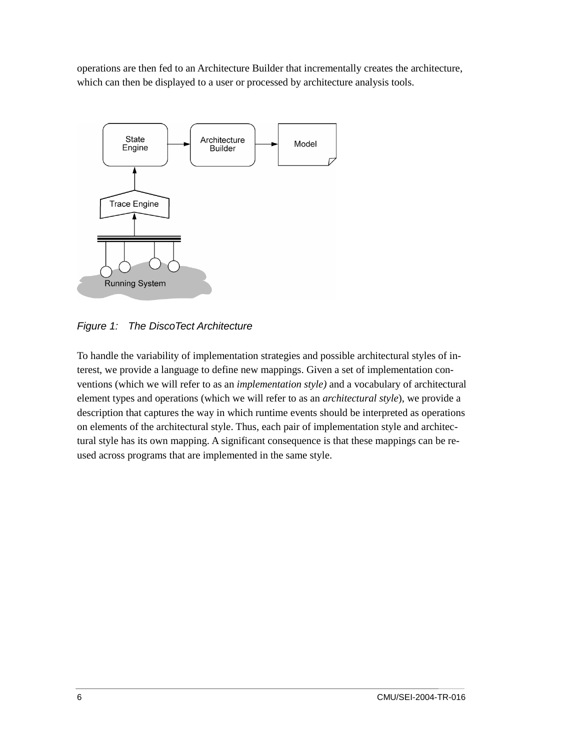operations are then fed to an Architecture Builder that incrementally creates the architecture, which can then be displayed to a user or processed by architecture analysis tools.



*Figure 1: The DiscoTect Architecture* 

To handle the variability of implementation strategies and possible architectural styles of interest, we provide a language to define new mappings. Given a set of implementation conventions (which we will refer to as an *implementation style)* and a vocabulary of architectural element types and operations (which we will refer to as an *architectural style*), we provide a description that captures the way in which runtime events should be interpreted as operations on elements of the architectural style. Thus, each pair of implementation style and architectural style has its own mapping. A significant consequence is that these mappings can be reused across programs that are implemented in the same style.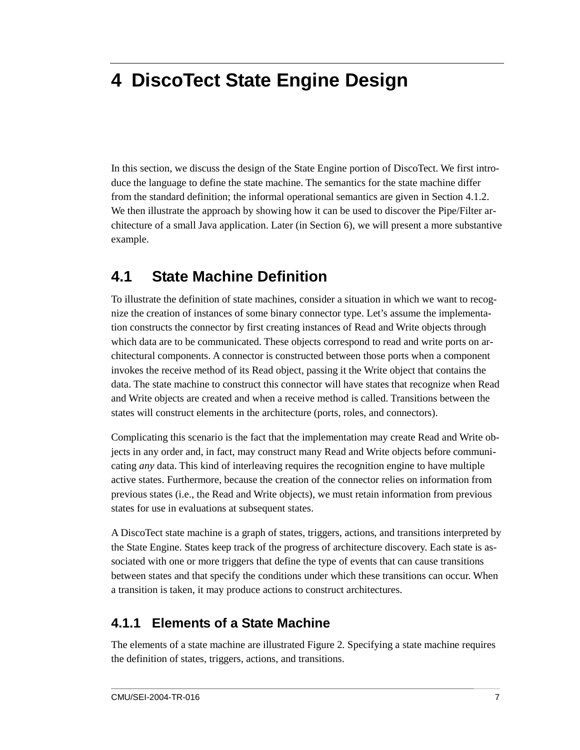# **4 DiscoTect State Engine Design**

In this section, we discuss the design of the State Engine portion of DiscoTect. We first introduce the language to define the state machine. The semantics for the state machine differ from the standard definition; the informal operational semantics are given in Section 4.1.2. We then illustrate the approach by showing how it can be used to discover the Pipe/Filter architecture of a small Java application. Later (in Section 6), we will present a more substantive example.

### **4.1 State Machine Definition**

To illustrate the definition of state machines, consider a situation in which we want to recognize the creation of instances of some binary connector type. Let's assume the implementation constructs the connector by first creating instances of Read and Write objects through which data are to be communicated. These objects correspond to read and write ports on architectural components. A connector is constructed between those ports when a component invokes the receive method of its Read object, passing it the Write object that contains the data. The state machine to construct this connector will have states that recognize when Read and Write objects are created and when a receive method is called. Transitions between the states will construct elements in the architecture (ports, roles, and connectors).

Complicating this scenario is the fact that the implementation may create Read and Write objects in any order and, in fact, may construct many Read and Write objects before communicating *any* data. This kind of interleaving requires the recognition engine to have multiple active states. Furthermore, because the creation of the connector relies on information from previous states (i.e., the Read and Write objects), we must retain information from previous states for use in evaluations at subsequent states.

A DiscoTect state machine is a graph of states, triggers, actions, and transitions interpreted by the State Engine. States keep track of the progress of architecture discovery. Each state is associated with one or more triggers that define the type of events that can cause transitions between states and that specify the conditions under which these transitions can occur. When a transition is taken, it may produce actions to construct architectures.

### **4.1.1 Elements of a State Machine**

The elements of a state machine are illustrated Figure 2. Specifying a state machine requires the definition of states, triggers, actions, and transitions.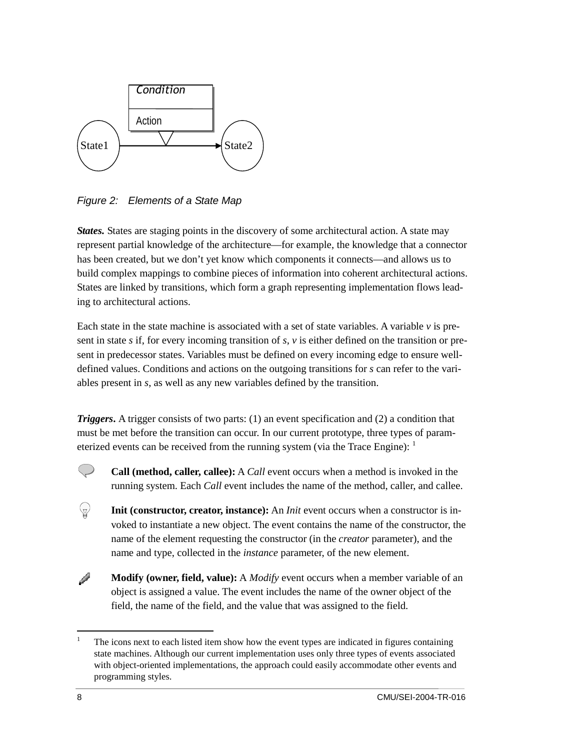

*Figure 2: Elements of a State Map* 

*States.* States are staging points in the discovery of some architectural action. A state may represent partial knowledge of the architecture—for example, the knowledge that a connector has been created, but we don't yet know which components it connects—and allows us to build complex mappings to combine pieces of information into coherent architectural actions. States are linked by transitions, which form a graph representing implementation flows leading to architectural actions.

Each state in the state machine is associated with a set of state variables. A variable *v* is present in state *s* if, for every incoming transition of *s*, *v* is either defined on the transition or present in predecessor states. Variables must be defined on every incoming edge to ensure welldefined values. Conditions and actions on the outgoing transitions for *s* can refer to the variables present in *s*, as well as any new variables defined by the transition.

*Triggers***.** A trigger consists of two parts: (1) an event specification and (2) a condition that must be met before the transition can occur. In our current prototype, three types of parameterized events can be received from the running system (via the Trace Engine):  $<sup>1</sup>$ </sup>



 $\langle \mathbb{Z} \rangle$ 

**Call (method, caller, callee):** A *Call* event occurs when a method is invoked in the running system. Each *Call* event includes the name of the method, caller, and callee.

**Init (constructor, creator, instance):** An *Init* event occurs when a constructor is invoked to instantiate a new object. The event contains the name of the constructor, the name of the element requesting the constructor (in the *creator* parameter), and the name and type, collected in the *instance* parameter, of the new element.

P **Modify (owner, field, value):** A *Modify* event occurs when a member variable of an object is assigned a value. The event includes the name of the owner object of the field, the name of the field, and the value that was assigned to the field.

 $\overline{a}$ 1 The icons next to each listed item show how the event types are indicated in figures containing state machines. Although our current implementation uses only three types of events associated with object-oriented implementations, the approach could easily accommodate other events and programming styles.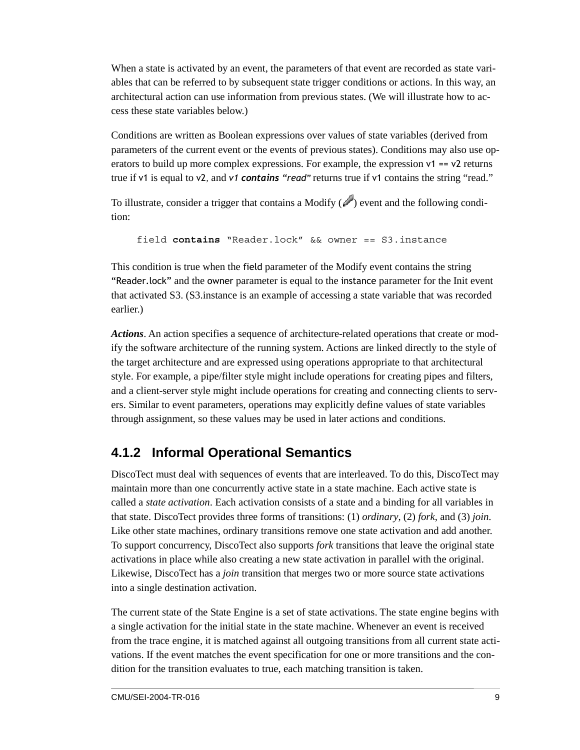When a state is activated by an event, the parameters of that event are recorded as state variables that can be referred to by subsequent state trigger conditions or actions. In this way, an architectural action can use information from previous states. (We will illustrate how to access these state variables below.)

Conditions are written as Boolean expressions over values of state variables (derived from parameters of the current event or the events of previous states). Conditions may also use operators to build up more complex expressions. For example, the expression  $v1 = v2$  returns true if v1 is equal to v2, and *v1 contains "read"* returns true if v1 contains the string "read."

To illustrate, consider a trigger that contains a Modify  $(\mathscr{O})$  event and the following condition:

field **contains** "Reader.lock" && owner == S3.instance

This condition is true when the field parameter of the Modify event contains the string "Reader.lock" and the owner parameter is equal to the instance parameter for the Init event that activated S3. (S3.instance is an example of accessing a state variable that was recorded earlier.)

*Actions*. An action specifies a sequence of architecture-related operations that create or modify the software architecture of the running system. Actions are linked directly to the style of the target architecture and are expressed using operations appropriate to that architectural style. For example, a pipe/filter style might include operations for creating pipes and filters, and a client-server style might include operations for creating and connecting clients to servers. Similar to event parameters, operations may explicitly define values of state variables through assignment, so these values may be used in later actions and conditions.

### **4.1.2 Informal Operational Semantics**

DiscoTect must deal with sequences of events that are interleaved. To do this, DiscoTect may maintain more than one concurrently active state in a state machine. Each active state is called a *state activation*. Each activation consists of a state and a binding for all variables in that state. DiscoTect provides three forms of transitions: (1) *ordinary*, (2) *fork*, and (3) *join*. Like other state machines, ordinary transitions remove one state activation and add another. To support concurrency, DiscoTect also supports *fork* transitions that leave the original state activations in place while also creating a new state activation in parallel with the original. Likewise, DiscoTect has a *join* transition that merges two or more source state activations into a single destination activation.

The current state of the State Engine is a set of state activations. The state engine begins with a single activation for the initial state in the state machine. Whenever an event is received from the trace engine, it is matched against all outgoing transitions from all current state activations. If the event matches the event specification for one or more transitions and the condition for the transition evaluates to true, each matching transition is taken.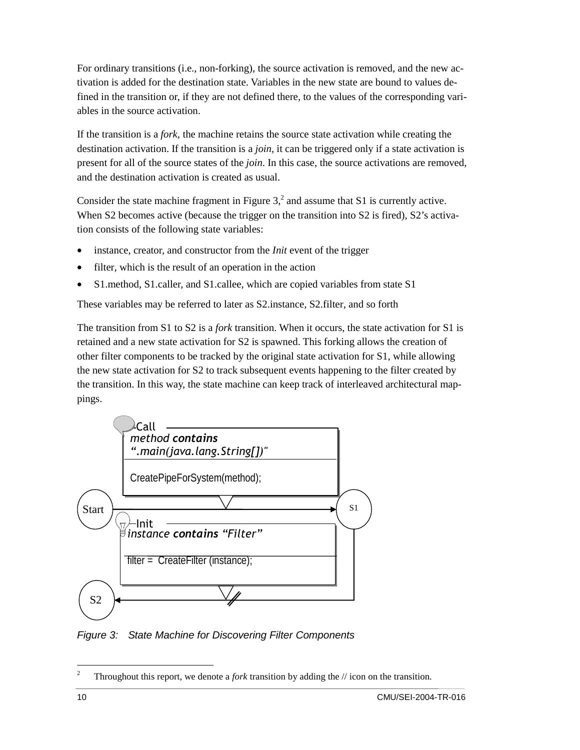For ordinary transitions (i.e., non-forking), the source activation is removed, and the new activation is added for the destination state. Variables in the new state are bound to values defined in the transition or, if they are not defined there, to the values of the corresponding variables in the source activation.

If the transition is a *fork*, the machine retains the source state activation while creating the destination activation. If the transition is a *join*, it can be triggered only if a state activation is present for all of the source states of the *join*. In this case, the source activations are removed, and the destination activation is created as usual.

Consider the state machine fragment in Figure  $3<sup>2</sup>$ , and assume that S1 is currently active. When S2 becomes active (because the trigger on the transition into S2 is fired), S2's activation consists of the following state variables:

- instance, creator, and constructor from the *Init* event of the trigger
- filter, which is the result of an operation in the action
- S1. method, S1. caller, and S1. callee, which are copied variables from state S1

These variables may be referred to later as S2.instance, S2.filter, and so forth

The transition from S1 to S2 is a *fork* transition. When it occurs, the state activation for S1 is retained and a new state activation for S2 is spawned. This forking allows the creation of other filter components to be tracked by the original state activation for S1, while allowing the new state activation for S2 to track subsequent events happening to the filter created by the transition. In this way, the state machine can keep track of interleaved architectural mappings.



*Figure 3: State Machine for Discovering Filter Components* 

 $\frac{1}{2}$ Throughout this report, we denote a *fork* transition by adding the // icon on the transition.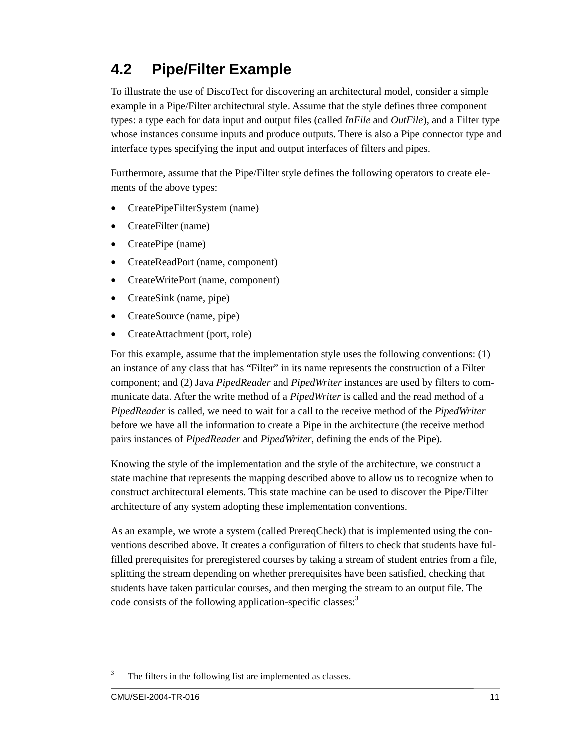### **4.2 Pipe/Filter Example**

To illustrate the use of DiscoTect for discovering an architectural model, consider a simple example in a Pipe/Filter architectural style. Assume that the style defines three component types: a type each for data input and output files (called *InFile* and *OutFile*), and a Filter type whose instances consume inputs and produce outputs. There is also a Pipe connector type and interface types specifying the input and output interfaces of filters and pipes.

Furthermore, assume that the Pipe/Filter style defines the following operators to create elements of the above types:

- CreatePipeFilterSystem (name)
- CreateFilter (name)
- CreatePipe (name)
- CreateReadPort (name, component)
- CreateWritePort (name, component)
- CreateSink (name, pipe)
- CreateSource (name, pipe)
- CreateAttachment (port, role)

For this example, assume that the implementation style uses the following conventions: (1) an instance of any class that has "Filter" in its name represents the construction of a Filter component; and (2) Java *PipedReader* and *PipedWriter* instances are used by filters to communicate data. After the write method of a *PipedWriter* is called and the read method of a *PipedReader* is called, we need to wait for a call to the receive method of the *PipedWriter* before we have all the information to create a Pipe in the architecture (the receive method pairs instances of *PipedReader* and *PipedWriter*, defining the ends of the Pipe).

Knowing the style of the implementation and the style of the architecture, we construct a state machine that represents the mapping described above to allow us to recognize when to construct architectural elements. This state machine can be used to discover the Pipe/Filter architecture of any system adopting these implementation conventions.

As an example, we wrote a system (called PrereqCheck) that is implemented using the conventions described above. It creates a configuration of filters to check that students have fulfilled prerequisites for preregistered courses by taking a stream of student entries from a file, splitting the stream depending on whether prerequisites have been satisfied, checking that students have taken particular courses, and then merging the stream to an output file. The code consists of the following application-specific classes:<sup>3</sup>

 3 The filters in the following list are implemented as classes.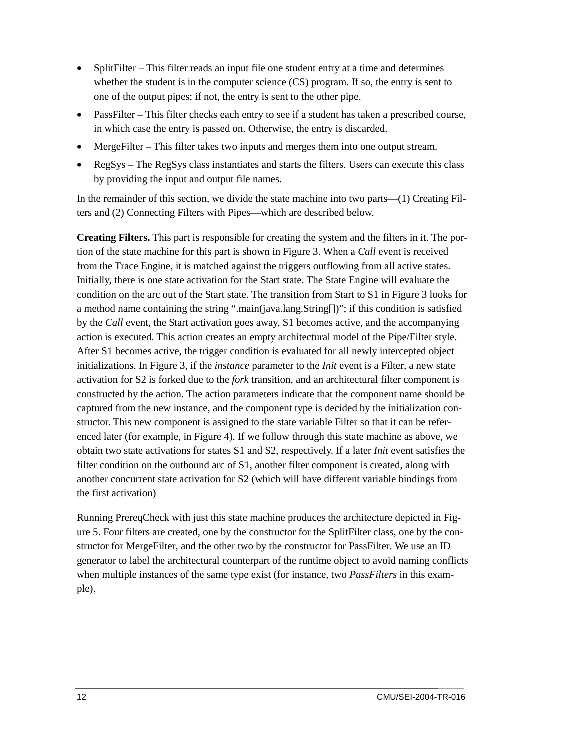- SplitFilter This filter reads an input file one student entry at a time and determines whether the student is in the computer science (CS) program. If so, the entry is sent to one of the output pipes; if not, the entry is sent to the other pipe.
- PassFilter This filter checks each entry to see if a student has taken a prescribed course, in which case the entry is passed on. Otherwise, the entry is discarded.
- MergeFilter This filter takes two inputs and merges them into one output stream.
- RegSys The RegSys class instantiates and starts the filters. Users can execute this class by providing the input and output file names.

In the remainder of this section, we divide the state machine into two parts—(1) Creating Filters and (2) Connecting Filters with Pipes—which are described below.

**Creating Filters.** This part is responsible for creating the system and the filters in it. The portion of the state machine for this part is shown in Figure 3. When a *Call* event is received from the Trace Engine, it is matched against the triggers outflowing from all active states. Initially, there is one state activation for the Start state. The State Engine will evaluate the condition on the arc out of the Start state. The transition from Start to S1 in Figure 3 looks for a method name containing the string ".main(java.lang.String[])"; if this condition is satisfied by the *Call* event, the Start activation goes away, S1 becomes active, and the accompanying action is executed. This action creates an empty architectural model of the Pipe/Filter style. After S1 becomes active, the trigger condition is evaluated for all newly intercepted object initializations. In Figure 3, if the *instance* parameter to the *Init* event is a Filter*,* a new state activation for S2 is forked due to the *fork* transition, and an architectural filter component is constructed by the action. The action parameters indicate that the component name should be captured from the new instance, and the component type is decided by the initialization constructor. This new component is assigned to the state variable Filter so that it can be referenced later (for example, in Figure 4). If we follow through this state machine as above, we obtain two state activations for states S1 and S2, respectively. If a later *Init* event satisfies the filter condition on the outbound arc of S1, another filter component is created, along with another concurrent state activation for S2 (which will have different variable bindings from the first activation)

Running PrereqCheck with just this state machine produces the architecture depicted in Figure 5. Four filters are created, one by the constructor for the SplitFilter class, one by the constructor for MergeFilter, and the other two by the constructor for PassFilter. We use an ID generator to label the architectural counterpart of the runtime object to avoid naming conflicts when multiple instances of the same type exist (for instance, two *PassFilters* in this example).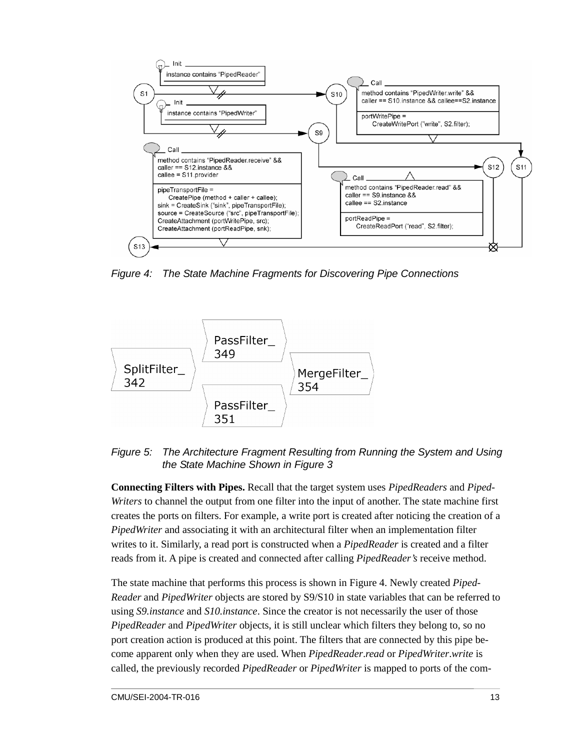

*Figure 4: The State Machine Fragments for Discovering Pipe Connections* 



*Figure 5: The Architecture Fragment Resulting from Running the System and Using the State Machine Shown in Figure 3* 

**Connecting Filters with Pipes.** Recall that the target system uses *PipedReaders* and *Piped-Writers* to channel the output from one filter into the input of another. The state machine first creates the ports on filters. For example, a write port is created after noticing the creation of a *PipedWriter* and associating it with an architectural filter when an implementation filter writes to it. Similarly, a read port is constructed when a *PipedReader* is created and a filter reads from it. A pipe is created and connected after calling *PipedReader's* receive method.

The state machine that performs this process is shown in Figure 4. Newly created *Piped-Reader* and *PipedWriter* objects are stored by S9/S10 in state variables that can be referred to using *S9.instance* and *S10.instance*. Since the creator is not necessarily the user of those *PipedReader* and *PipedWriter* objects, it is still unclear which filters they belong to, so no port creation action is produced at this point. The filters that are connected by this pipe become apparent only when they are used. When *PipedReader*.*read* or *PipedWriter*.*write* is called, the previously recorded *PipedReader* or *PipedWriter* is mapped to ports of the com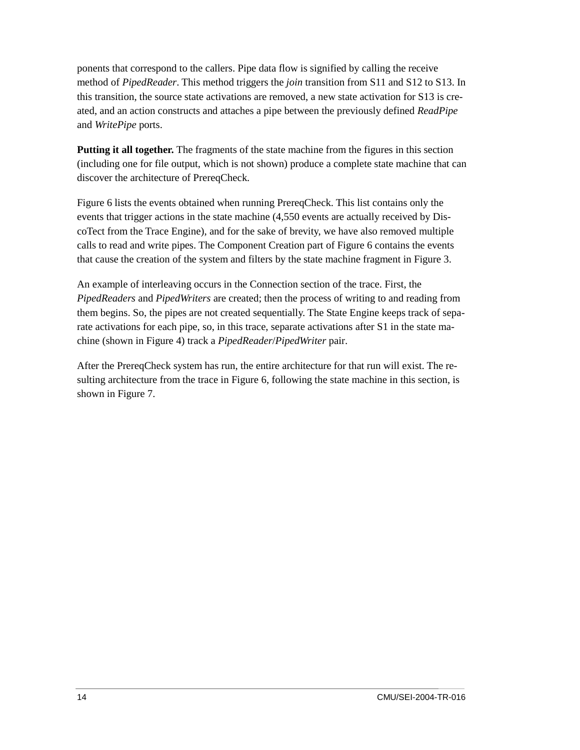ponents that correspond to the callers. Pipe data flow is signified by calling the receive method of *PipedReader*. This method triggers the *join* transition from S11 and S12 to S13. In this transition, the source state activations are removed, a new state activation for S13 is created, and an action constructs and attaches a pipe between the previously defined *ReadPipe* and *WritePipe* ports.

**Putting it all together.** The fragments of the state machine from the figures in this section (including one for file output, which is not shown) produce a complete state machine that can discover the architecture of PrereqCheck.

Figure 6 lists the events obtained when running PrereqCheck. This list contains only the events that trigger actions in the state machine (4,550 events are actually received by DiscoTect from the Trace Engine), and for the sake of brevity, we have also removed multiple calls to read and write pipes. The Component Creation part of Figure 6 contains the events that cause the creation of the system and filters by the state machine fragment in Figure 3.

An example of interleaving occurs in the Connection section of the trace. First, the *PipedReaders* and *PipedWriters* are created; then the process of writing to and reading from them begins. So, the pipes are not created sequentially. The State Engine keeps track of separate activations for each pipe, so, in this trace, separate activations after S1 in the state machine (shown in Figure 4) track a *PipedReader*/*PipedWriter* pair.

After the PrereqCheck system has run, the entire architecture for that run will exist. The resulting architecture from the trace in Figure 6, following the state machine in this section, is shown in Figure 7.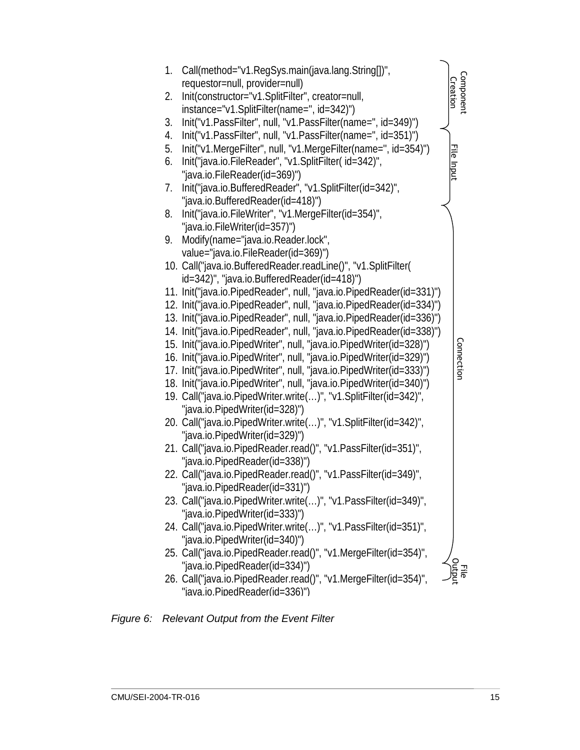

#### *Figure 6: Relevant Output from the Event Filter*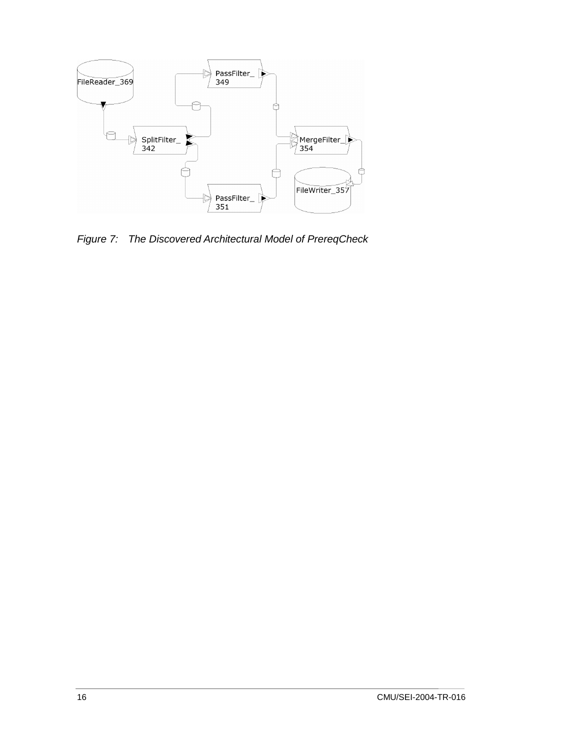

*Figure 7: The Discovered Architectural Model of PrereqCheck*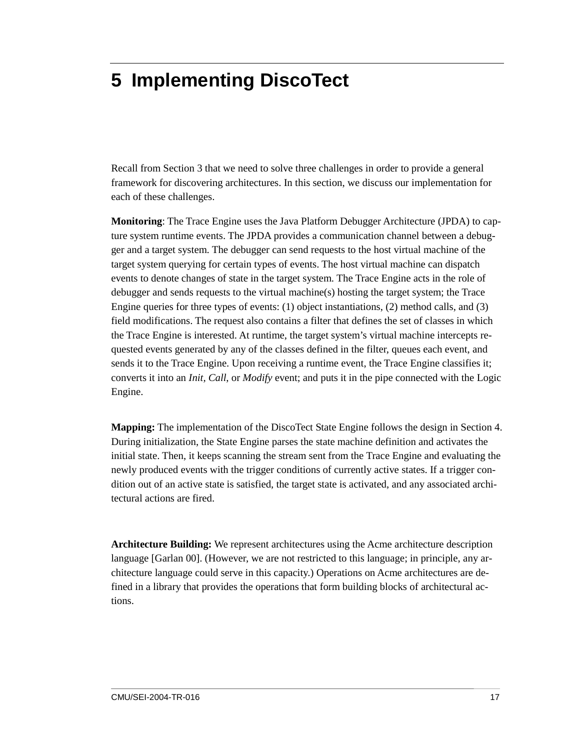## **5 Implementing DiscoTect**

Recall from Section 3 that we need to solve three challenges in order to provide a general framework for discovering architectures. In this section, we discuss our implementation for each of these challenges.

**Monitoring**: The Trace Engine uses the Java Platform Debugger Architecture (JPDA) to capture system runtime events. The JPDA provides a communication channel between a debugger and a target system. The debugger can send requests to the host virtual machine of the target system querying for certain types of events. The host virtual machine can dispatch events to denote changes of state in the target system. The Trace Engine acts in the role of debugger and sends requests to the virtual machine(s) hosting the target system; the Trace Engine queries for three types of events: (1) object instantiations, (2) method calls, and (3) field modifications. The request also contains a filter that defines the set of classes in which the Trace Engine is interested. At runtime, the target system's virtual machine intercepts requested events generated by any of the classes defined in the filter, queues each event, and sends it to the Trace Engine. Upon receiving a runtime event, the Trace Engine classifies it; converts it into an *Init, Call*, or *Modify* event; and puts it in the pipe connected with the Logic Engine.

**Mapping:** The implementation of the DiscoTect State Engine follows the design in Section 4. During initialization, the State Engine parses the state machine definition and activates the initial state. Then, it keeps scanning the stream sent from the Trace Engine and evaluating the newly produced events with the trigger conditions of currently active states. If a trigger condition out of an active state is satisfied, the target state is activated, and any associated architectural actions are fired.

**Architecture Building:** We represent architectures using the Acme architecture description language [Garlan 00]. (However, we are not restricted to this language; in principle, any architecture language could serve in this capacity.) Operations on Acme architectures are defined in a library that provides the operations that form building blocks of architectural actions.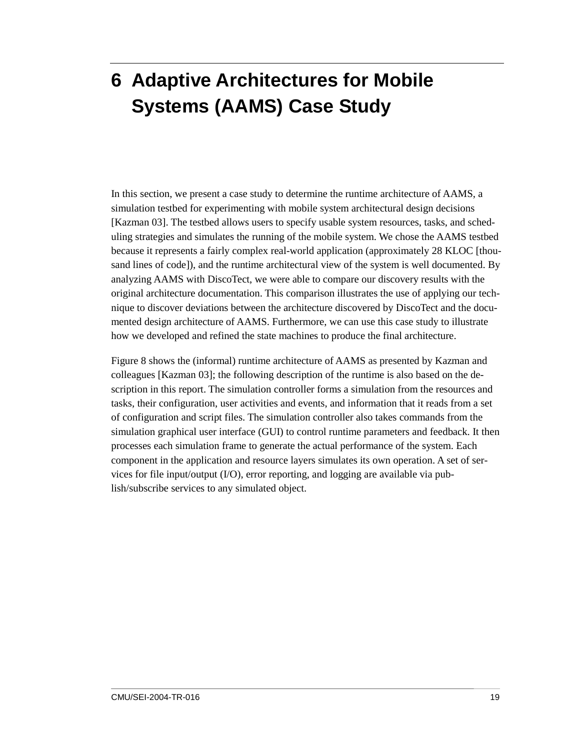# **6 Adaptive Architectures for Mobile Systems (AAMS) Case Study**

In this section, we present a case study to determine the runtime architecture of AAMS, a simulation testbed for experimenting with mobile system architectural design decisions [Kazman 03]. The testbed allows users to specify usable system resources, tasks, and scheduling strategies and simulates the running of the mobile system. We chose the AAMS testbed because it represents a fairly complex real-world application (approximately 28 KLOC [thousand lines of code]), and the runtime architectural view of the system is well documented. By analyzing AAMS with DiscoTect, we were able to compare our discovery results with the original architecture documentation. This comparison illustrates the use of applying our technique to discover deviations between the architecture discovered by DiscoTect and the documented design architecture of AAMS. Furthermore, we can use this case study to illustrate how we developed and refined the state machines to produce the final architecture.

Figure 8 shows the (informal) runtime architecture of AAMS as presented by Kazman and colleagues [Kazman 03]; the following description of the runtime is also based on the description in this report. The simulation controller forms a simulation from the resources and tasks, their configuration, user activities and events, and information that it reads from a set of configuration and script files. The simulation controller also takes commands from the simulation graphical user interface (GUI) to control runtime parameters and feedback. It then processes each simulation frame to generate the actual performance of the system. Each component in the application and resource layers simulates its own operation. A set of services for file input/output (I/O), error reporting, and logging are available via publish/subscribe services to any simulated object.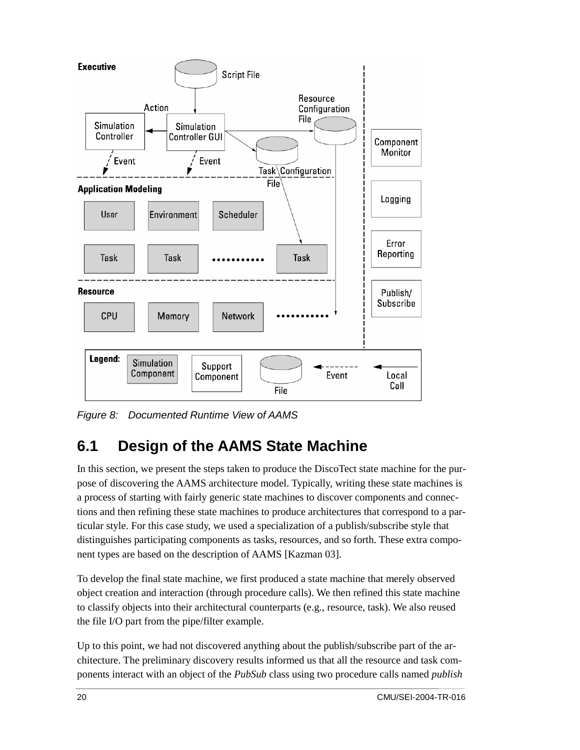

*Figure 8: Documented Runtime View of AAMS* 

### **6.1 Design of the AAMS State Machine**

In this section, we present the steps taken to produce the DiscoTect state machine for the purpose of discovering the AAMS architecture model. Typically, writing these state machines is a process of starting with fairly generic state machines to discover components and connections and then refining these state machines to produce architectures that correspond to a particular style. For this case study, we used a specialization of a publish/subscribe style that distinguishes participating components as tasks, resources, and so forth. These extra component types are based on the description of AAMS [Kazman 03].

To develop the final state machine, we first produced a state machine that merely observed object creation and interaction (through procedure calls). We then refined this state machine to classify objects into their architectural counterparts (e.g., resource, task). We also reused the file I/O part from the pipe/filter example.

Up to this point, we had not discovered anything about the publish/subscribe part of the architecture. The preliminary discovery results informed us that all the resource and task components interact with an object of the *PubSub* class using two procedure calls named *publish*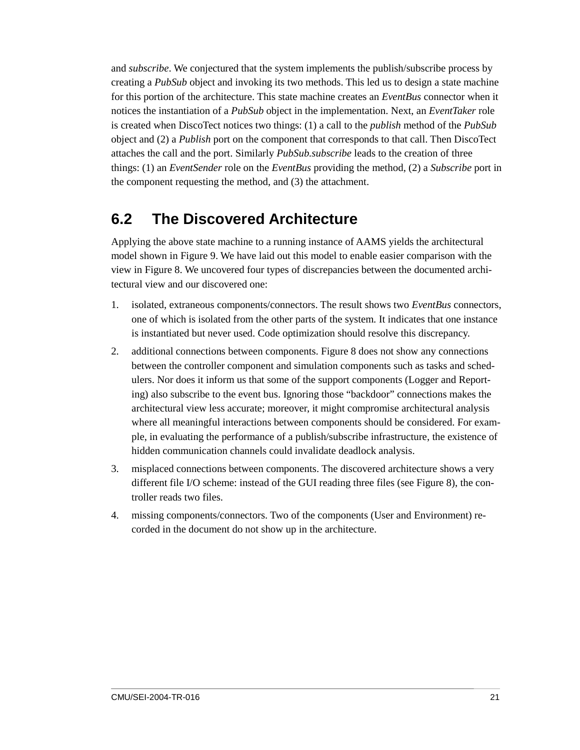and *subscribe*. We conjectured that the system implements the publish/subscribe process by creating a *PubSub* object and invoking its two methods. This led us to design a state machine for this portion of the architecture. This state machine creates an *EventBus* connector when it notices the instantiation of a *PubSub* object in the implementation. Next, an *EventTaker* role is created when DiscoTect notices two things: (1) a call to the *publish* method of the *PubSub* object and (2) a *Publish* port on the component that corresponds to that call. Then DiscoTect attaches the call and the port. Similarly *PubSub.subscribe* leads to the creation of three things: (1) an *EventSender* role on the *EventBus* providing the method, (2) a *Subscribe* port in the component requesting the method, and (3) the attachment.

### **6.2 The Discovered Architecture**

Applying the above state machine to a running instance of AAMS yields the architectural model shown in Figure 9. We have laid out this model to enable easier comparison with the view in Figure 8. We uncovered four types of discrepancies between the documented architectural view and our discovered one:

- 1. isolated, extraneous components/connectors. The result shows two *EventBus* connectors, one of which is isolated from the other parts of the system. It indicates that one instance is instantiated but never used. Code optimization should resolve this discrepancy.
- 2. additional connections between components. Figure 8 does not show any connections between the controller component and simulation components such as tasks and schedulers. Nor does it inform us that some of the support components (Logger and Reporting) also subscribe to the event bus. Ignoring those "backdoor" connections makes the architectural view less accurate; moreover, it might compromise architectural analysis where all meaningful interactions between components should be considered. For example, in evaluating the performance of a publish/subscribe infrastructure, the existence of hidden communication channels could invalidate deadlock analysis.
- 3. misplaced connections between components. The discovered architecture shows a very different file I/O scheme: instead of the GUI reading three files (see Figure 8), the controller reads two files.
- 4. missing components/connectors. Two of the components (User and Environment) recorded in the document do not show up in the architecture.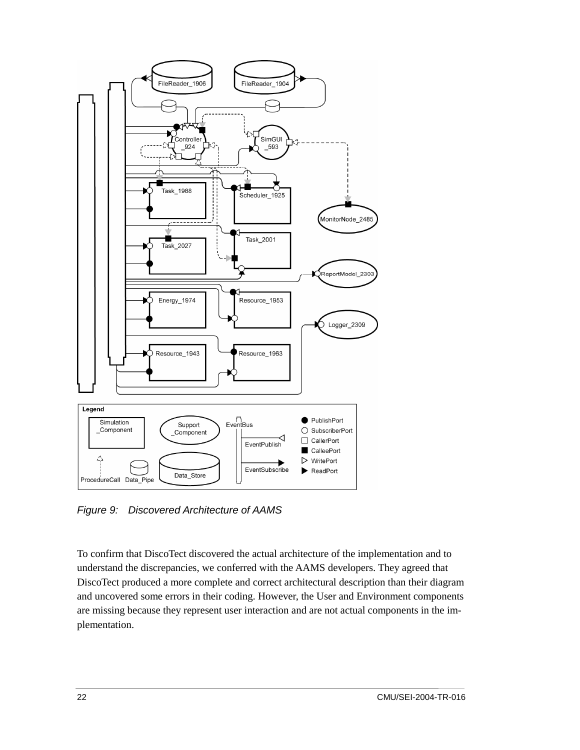

*Figure 9: Discovered Architecture of AAMS* 

To confirm that DiscoTect discovered the actual architecture of the implementation and to understand the discrepancies, we conferred with the AAMS developers. They agreed that DiscoTect produced a more complete and correct architectural description than their diagram and uncovered some errors in their coding. However, the User and Environment components are missing because they represent user interaction and are not actual components in the implementation.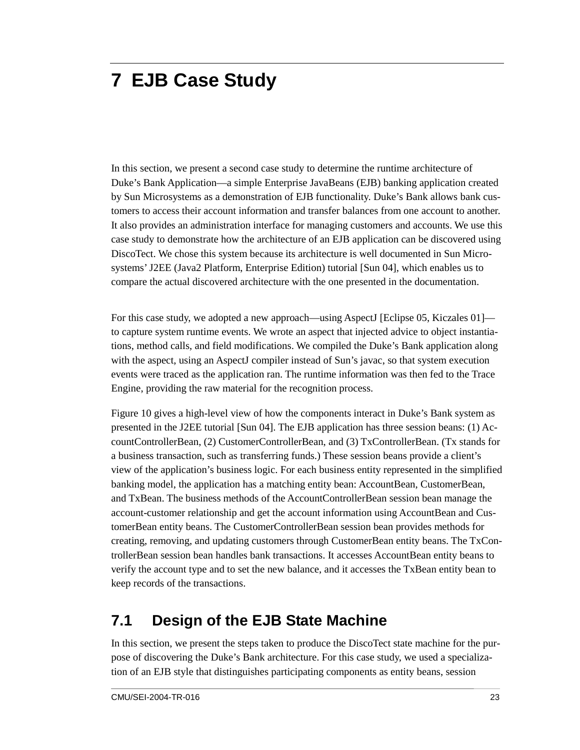# **7 EJB Case Study**

In this section, we present a second case study to determine the runtime architecture of Duke's Bank Application—a simple Enterprise JavaBeans (EJB) banking application created by Sun Microsystems as a demonstration of EJB functionality. Duke's Bank allows bank customers to access their account information and transfer balances from one account to another. It also provides an administration interface for managing customers and accounts. We use this case study to demonstrate how the architecture of an EJB application can be discovered using DiscoTect. We chose this system because its architecture is well documented in Sun Microsystems' J2EE (Java2 Platform, Enterprise Edition) tutorial [Sun 04], which enables us to compare the actual discovered architecture with the one presented in the documentation.

For this case study, we adopted a new approach—using AspectJ [Eclipse 05, Kiczales 01] to capture system runtime events. We wrote an aspect that injected advice to object instantiations, method calls, and field modifications. We compiled the Duke's Bank application along with the aspect, using an AspectJ compiler instead of Sun's javac, so that system execution events were traced as the application ran. The runtime information was then fed to the Trace Engine, providing the raw material for the recognition process.

Figure 10 gives a high-level view of how the components interact in Duke's Bank system as presented in the J2EE tutorial [Sun 04]. The EJB application has three session beans: (1) AccountControllerBean, (2) CustomerControllerBean, and (3) TxControllerBean. (Tx stands for a business transaction, such as transferring funds.) These session beans provide a client's view of the application's business logic. For each business entity represented in the simplified banking model, the application has a matching entity bean: AccountBean, CustomerBean, and TxBean. The business methods of the AccountControllerBean session bean manage the account-customer relationship and get the account information using AccountBean and CustomerBean entity beans. The CustomerControllerBean session bean provides methods for creating, removing, and updating customers through CustomerBean entity beans. The TxControllerBean session bean handles bank transactions. It accesses AccountBean entity beans to verify the account type and to set the new balance, and it accesses the TxBean entity bean to keep records of the transactions.

### **7.1 Design of the EJB State Machine**

In this section, we present the steps taken to produce the DiscoTect state machine for the purpose of discovering the Duke's Bank architecture. For this case study, we used a specialization of an EJB style that distinguishes participating components as entity beans, session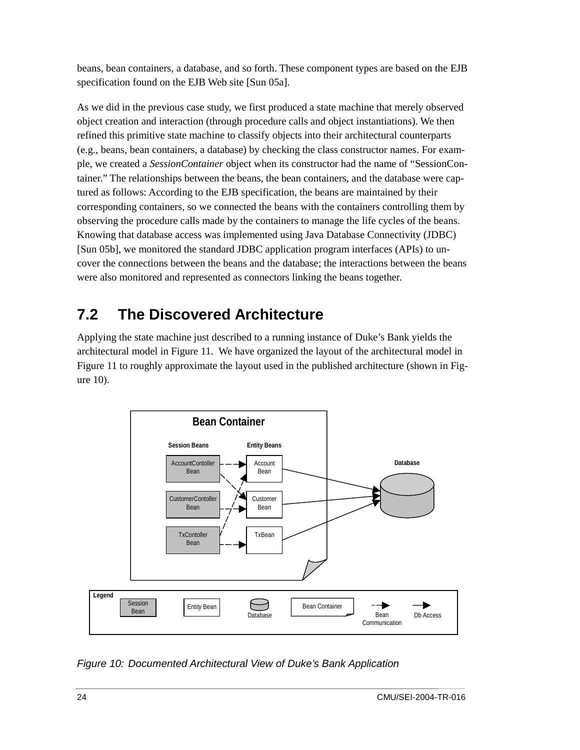beans, bean containers, a database, and so forth. These component types are based on the EJB specification found on the EJB Web site [Sun 05a].

As we did in the previous case study, we first produced a state machine that merely observed object creation and interaction (through procedure calls and object instantiations). We then refined this primitive state machine to classify objects into their architectural counterparts (e.g., beans, bean containers, a database) by checking the class constructor names. For example, we created a *SessionContainer* object when its constructor had the name of "SessionContainer." The relationships between the beans, the bean containers, and the database were captured as follows: According to the EJB specification, the beans are maintained by their corresponding containers, so we connected the beans with the containers controlling them by observing the procedure calls made by the containers to manage the life cycles of the beans. Knowing that database access was implemented using Java Database Connectivity (JDBC) [Sun 05b], we monitored the standard JDBC application program interfaces (APIs) to uncover the connections between the beans and the database; the interactions between the beans were also monitored and represented as connectors linking the beans together.

### **7.2 The Discovered Architecture**

Applying the state machine just described to a running instance of Duke's Bank yields the architectural model in Figure 11. We have organized the layout of the architectural model in Figure 11 to roughly approximate the layout used in the published architecture (shown in Figure 10).



*Figure 10: Documented Architectural View of Duke's Bank Application*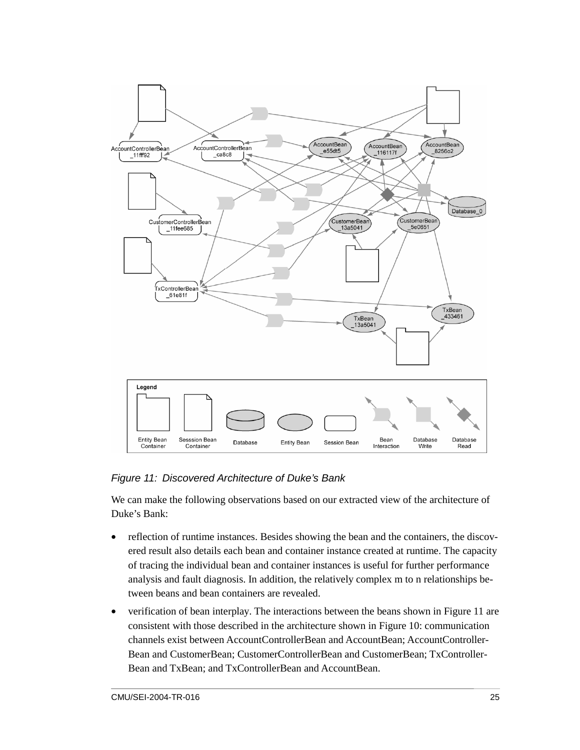

#### *Figure 11: Discovered Architecture of Duke's Bank*

We can make the following observations based on our extracted view of the architecture of Duke's Bank:

- reflection of runtime instances. Besides showing the bean and the containers, the discovered result also details each bean and container instance created at runtime. The capacity of tracing the individual bean and container instances is useful for further performance analysis and fault diagnosis. In addition, the relatively complex m to n relationships between beans and bean containers are revealed.
- verification of bean interplay. The interactions between the beans shown in Figure 11 are consistent with those described in the architecture shown in Figure 10: communication channels exist between AccountControllerBean and AccountBean; AccountController-Bean and CustomerBean; CustomerControllerBean and CustomerBean; TxController-Bean and TxBean; and TxControllerBean and AccountBean.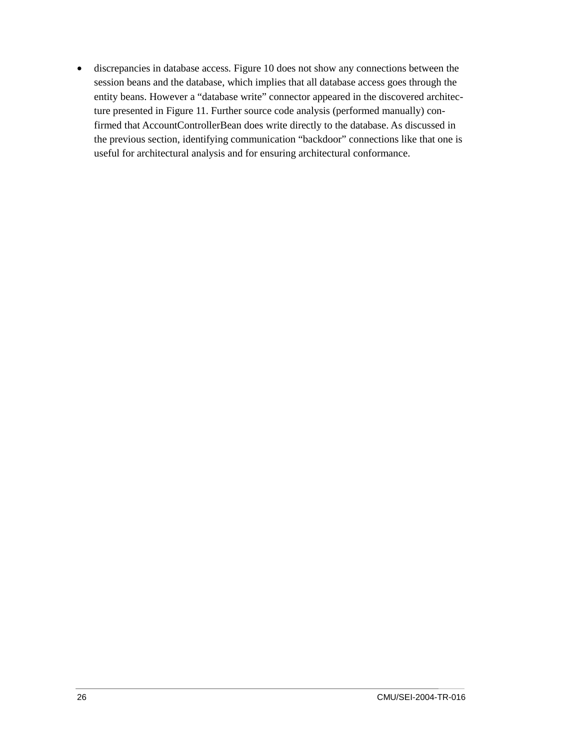• discrepancies in database access*.* Figure 10 does not show any connections between the session beans and the database, which implies that all database access goes through the entity beans. However a "database write" connector appeared in the discovered architecture presented in Figure 11. Further source code analysis (performed manually) confirmed that AccountControllerBean does write directly to the database. As discussed in the previous section, identifying communication "backdoor" connections like that one is useful for architectural analysis and for ensuring architectural conformance.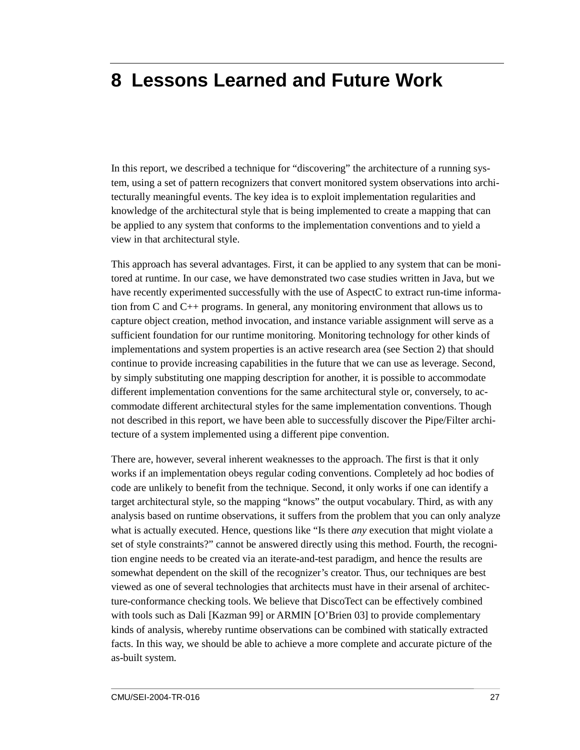## **8 Lessons Learned and Future Work**

In this report, we described a technique for "discovering" the architecture of a running system, using a set of pattern recognizers that convert monitored system observations into architecturally meaningful events. The key idea is to exploit implementation regularities and knowledge of the architectural style that is being implemented to create a mapping that can be applied to any system that conforms to the implementation conventions and to yield a view in that architectural style.

This approach has several advantages. First, it can be applied to any system that can be monitored at runtime. In our case, we have demonstrated two case studies written in Java, but we have recently experimented successfully with the use of AspectC to extract run-time information from C and C++ programs. In general, any monitoring environment that allows us to capture object creation, method invocation, and instance variable assignment will serve as a sufficient foundation for our runtime monitoring. Monitoring technology for other kinds of implementations and system properties is an active research area (see Section 2) that should continue to provide increasing capabilities in the future that we can use as leverage. Second, by simply substituting one mapping description for another, it is possible to accommodate different implementation conventions for the same architectural style or, conversely, to accommodate different architectural styles for the same implementation conventions. Though not described in this report, we have been able to successfully discover the Pipe/Filter architecture of a system implemented using a different pipe convention.

There are, however, several inherent weaknesses to the approach. The first is that it only works if an implementation obeys regular coding conventions. Completely ad hoc bodies of code are unlikely to benefit from the technique. Second, it only works if one can identify a target architectural style, so the mapping "knows" the output vocabulary. Third, as with any analysis based on runtime observations, it suffers from the problem that you can only analyze what is actually executed. Hence, questions like "Is there *any* execution that might violate a set of style constraints?" cannot be answered directly using this method. Fourth, the recognition engine needs to be created via an iterate-and-test paradigm, and hence the results are somewhat dependent on the skill of the recognizer's creator. Thus, our techniques are best viewed as one of several technologies that architects must have in their arsenal of architecture-conformance checking tools. We believe that DiscoTect can be effectively combined with tools such as Dali [Kazman 99] or ARMIN [O'Brien 03] to provide complementary kinds of analysis, whereby runtime observations can be combined with statically extracted facts. In this way, we should be able to achieve a more complete and accurate picture of the as-built system.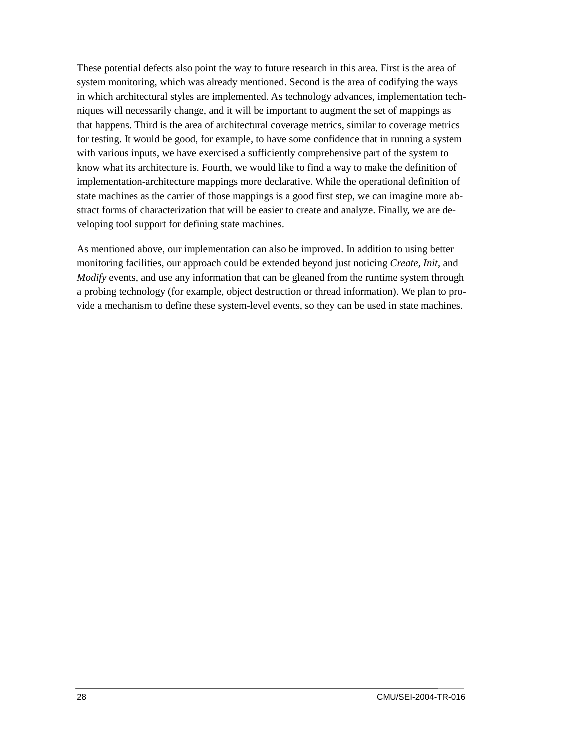These potential defects also point the way to future research in this area. First is the area of system monitoring, which was already mentioned. Second is the area of codifying the ways in which architectural styles are implemented. As technology advances, implementation techniques will necessarily change, and it will be important to augment the set of mappings as that happens. Third is the area of architectural coverage metrics, similar to coverage metrics for testing. It would be good, for example, to have some confidence that in running a system with various inputs, we have exercised a sufficiently comprehensive part of the system to know what its architecture is. Fourth, we would like to find a way to make the definition of implementation-architecture mappings more declarative. While the operational definition of state machines as the carrier of those mappings is a good first step, we can imagine more abstract forms of characterization that will be easier to create and analyze. Finally, we are developing tool support for defining state machines.

As mentioned above, our implementation can also be improved. In addition to using better monitoring facilities, our approach could be extended beyond just noticing *Create, Init*, and *Modify* events, and use any information that can be gleaned from the runtime system through a probing technology (for example, object destruction or thread information). We plan to provide a mechanism to define these system-level events, so they can be used in state machines.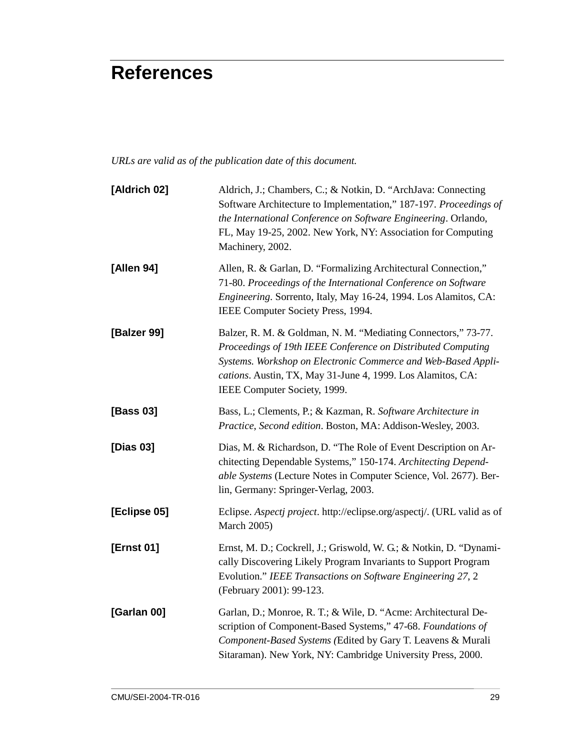# **References**

*URLs are valid as of the publication date of this document.* 

| [Aldrich 02]      | Aldrich, J.; Chambers, C.; & Notkin, D. "ArchJava: Connecting<br>Software Architecture to Implementation," 187-197. Proceedings of<br>the International Conference on Software Engineering. Orlando,<br>FL, May 19-25, 2002. New York, NY: Association for Computing<br>Machinery, 2002.      |
|-------------------|-----------------------------------------------------------------------------------------------------------------------------------------------------------------------------------------------------------------------------------------------------------------------------------------------|
| [Allen 94]        | Allen, R. & Garlan, D. "Formalizing Architectural Connection,"<br>71-80. Proceedings of the International Conference on Software<br>Engineering. Sorrento, Italy, May 16-24, 1994. Los Alamitos, CA:<br>IEEE Computer Society Press, 1994.                                                    |
| [Balzer 99]       | Balzer, R. M. & Goldman, N. M. "Mediating Connectors," 73-77.<br>Proceedings of 19th IEEE Conference on Distributed Computing<br>Systems. Workshop on Electronic Commerce and Web-Based Appli-<br>cations. Austin, TX, May 31-June 4, 1999. Los Alamitos, CA:<br>IEEE Computer Society, 1999. |
| [Bass 03]         | Bass, L.; Clements, P.; & Kazman, R. Software Architecture in<br>Practice, Second edition. Boston, MA: Addison-Wesley, 2003.                                                                                                                                                                  |
| [Dias 03]         | Dias, M. & Richardson, D. "The Role of Event Description on Ar-<br>chitecting Dependable Systems," 150-174. Architecting Depend-<br>able Systems (Lecture Notes in Computer Science, Vol. 2677). Ber-<br>lin, Germany: Springer-Verlag, 2003.                                                 |
| [Eclipse 05]      | Eclipse. Aspectj project. http://eclipse.org/aspectj/. (URL valid as of<br><b>March 2005)</b>                                                                                                                                                                                                 |
| <b>[Ernst 01]</b> | Ernst, M. D.; Cockrell, J.; Griswold, W. G.; & Notkin, D. "Dynami-<br>cally Discovering Likely Program Invariants to Support Program<br>Evolution." IEEE Transactions on Software Engineering 27, 2<br>(February 2001): 99-123.                                                               |
| [Garlan 00]       | Garlan, D.; Monroe, R. T.; & Wile, D. "Acme: Architectural De-<br>scription of Component-Based Systems," 47-68. Foundations of<br>Component-Based Systems (Edited by Gary T. Leavens & Murali<br>Sitaraman). New York, NY: Cambridge University Press, 2000.                                  |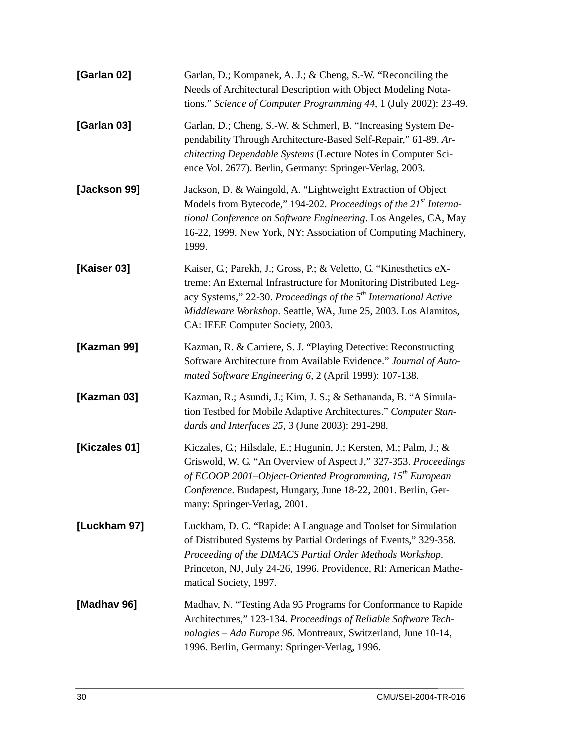| [Garlan 02]   | Garlan, D.; Kompanek, A. J.; & Cheng, S.-W. "Reconciling the<br>Needs of Architectural Description with Object Modeling Nota-<br>tions." Science of Computer Programming 44, 1 (July 2002): 23-49.                                                                                                                            |
|---------------|-------------------------------------------------------------------------------------------------------------------------------------------------------------------------------------------------------------------------------------------------------------------------------------------------------------------------------|
| [Garlan 03]   | Garlan, D.; Cheng, S.-W. & Schmerl, B. "Increasing System De-<br>pendability Through Architecture-Based Self-Repair," 61-89. Ar-<br>chitecting Dependable Systems (Lecture Notes in Computer Sci-<br>ence Vol. 2677). Berlin, Germany: Springer-Verlag, 2003.                                                                 |
| [Jackson 99]  | Jackson, D. & Waingold, A. "Lightweight Extraction of Object<br>Models from Bytecode," 194-202. Proceedings of the 21st Interna-<br>tional Conference on Software Engineering. Los Angeles, CA, May<br>16-22, 1999. New York, NY: Association of Computing Machinery,<br>1999.                                                |
| [Kaiser 03]   | Kaiser, G.; Parekh, J.; Gross, P.; & Veletto, G. "Kinesthetics eX-<br>treme: An External Infrastructure for Monitoring Distributed Leg-<br>acy Systems," 22-30. Proceedings of the 5 <sup>th</sup> International Active<br>Middleware Workshop. Seattle, WA, June 25, 2003. Los Alamitos,<br>CA: IEEE Computer Society, 2003. |
| [Kazman 99]   | Kazman, R. & Carriere, S. J. "Playing Detective: Reconstructing<br>Software Architecture from Available Evidence." Journal of Auto-<br>mated Software Engineering 6, 2 (April 1999): 107-138.                                                                                                                                 |
| [Kazman 03]   | Kazman, R.; Asundi, J.; Kim, J. S.; & Sethananda, B. "A Simula-<br>tion Testbed for Mobile Adaptive Architectures." Computer Stan-<br>dards and Interfaces 25, 3 (June 2003): 291-298.                                                                                                                                        |
| [Kiczales 01] | Kiczales, G.; Hilsdale, E.; Hugunin, J.; Kersten, M.; Palm, J.; &<br>Griswold, W. G. "An Overview of Aspect J," 327-353. Proceedings<br>of ECOOP 2001–Object-Oriented Programming, $15^{th}$ European<br>Conference. Budapest, Hungary, June 18-22, 2001. Berlin, Ger-<br>many: Springer-Verlag, 2001.                        |
| [Luckham 97]  | Luckham, D. C. "Rapide: A Language and Toolset for Simulation<br>of Distributed Systems by Partial Orderings of Events," 329-358.<br>Proceeding of the DIMACS Partial Order Methods Workshop.<br>Princeton, NJ, July 24-26, 1996. Providence, RI: American Mathe-<br>matical Society, 1997.                                   |
| [Madhav 96]   | Madhav, N. "Testing Ada 95 Programs for Conformance to Rapide<br>Architectures," 123-134. Proceedings of Reliable Software Tech-<br>nologies - Ada Europe 96. Montreaux, Switzerland, June 10-14,<br>1996. Berlin, Germany: Springer-Verlag, 1996.                                                                            |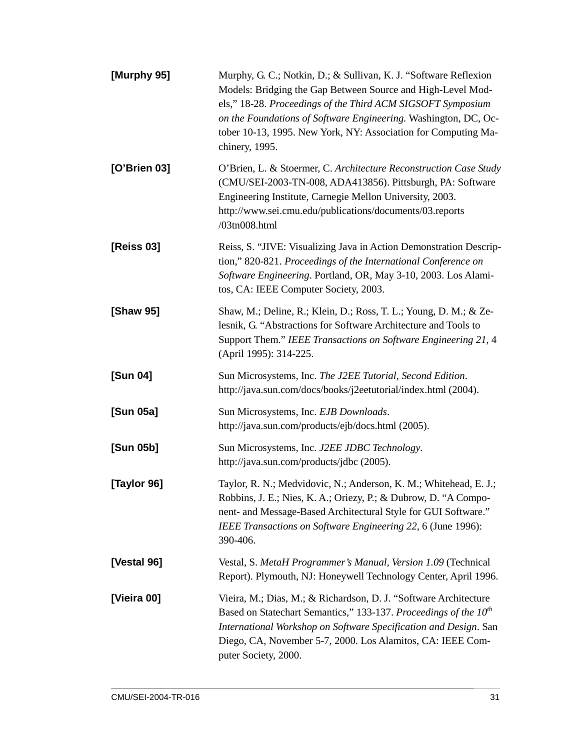| [Murphy 95]  | Murphy, G. C.; Notkin, D.; & Sullivan, K. J. "Software Reflexion<br>Models: Bridging the Gap Between Source and High-Level Mod-<br>els," 18-28. Proceedings of the Third ACM SIGSOFT Symposium<br>on the Foundations of Software Engineering. Washington, DC, Oc-<br>tober 10-13, 1995. New York, NY: Association for Computing Ma-<br>chinery, 1995. |
|--------------|-------------------------------------------------------------------------------------------------------------------------------------------------------------------------------------------------------------------------------------------------------------------------------------------------------------------------------------------------------|
| [O'Brien 03] | O'Brien, L. & Stoermer, C. Architecture Reconstruction Case Study<br>(CMU/SEI-2003-TN-008, ADA413856). Pittsburgh, PA: Software<br>Engineering Institute, Carnegie Mellon University, 2003.<br>http://www.sei.cmu.edu/publications/documents/03.reports<br>/03tn008.html                                                                              |
| [Reiss 03]   | Reiss, S. "JIVE: Visualizing Java in Action Demonstration Descrip-<br>tion," 820-821. Proceedings of the International Conference on<br>Software Engineering. Portland, OR, May 3-10, 2003. Los Alami-<br>tos, CA: IEEE Computer Society, 2003.                                                                                                       |
| [Shaw 95]    | Shaw, M.; Deline, R.; Klein, D.; Ross, T. L.; Young, D. M.; & Ze-<br>lesnik, G. "Abstractions for Software Architecture and Tools to<br>Support Them." IEEE Transactions on Software Engineering 21, 4<br>(April 1995): 314-225.                                                                                                                      |
| [Sun 04]     | Sun Microsystems, Inc. The J2EE Tutorial, Second Edition.<br>http://java.sun.com/docs/books/j2eetutorial/index.html (2004).                                                                                                                                                                                                                           |
| [Sun 05a]    | Sun Microsystems, Inc. EJB Downloads.<br>http://java.sun.com/products/ejb/docs.html (2005).                                                                                                                                                                                                                                                           |
| [Sun 05b]    | Sun Microsystems, Inc. J2EE JDBC Technology.<br>http://java.sun.com/products/jdbc (2005).                                                                                                                                                                                                                                                             |
| [Taylor 96]  | Taylor, R. N.; Medvidovic, N.; Anderson, K. M.; Whitehead, E. J.;<br>Robbins, J. E.; Nies, K. A.; Oriezy, P.; & Dubrow, D. "A Compo-<br>nent- and Message-Based Architectural Style for GUI Software."<br>IEEE Transactions on Software Engineering 22, 6 (June 1996):<br>390-406.                                                                    |
| [Vestal 96]  | Vestal, S. MetaH Programmer's Manual, Version 1.09 (Technical<br>Report). Plymouth, NJ: Honeywell Technology Center, April 1996.                                                                                                                                                                                                                      |
| [Vieira 00]  | Vieira, M.; Dias, M.; & Richardson, D. J. "Software Architecture<br>Based on Statechart Semantics," 133-137. Proceedings of the 10 <sup>th</sup><br>International Workshop on Software Specification and Design. San<br>Diego, CA, November 5-7, 2000. Los Alamitos, CA: IEEE Com-<br>puter Society, 2000.                                            |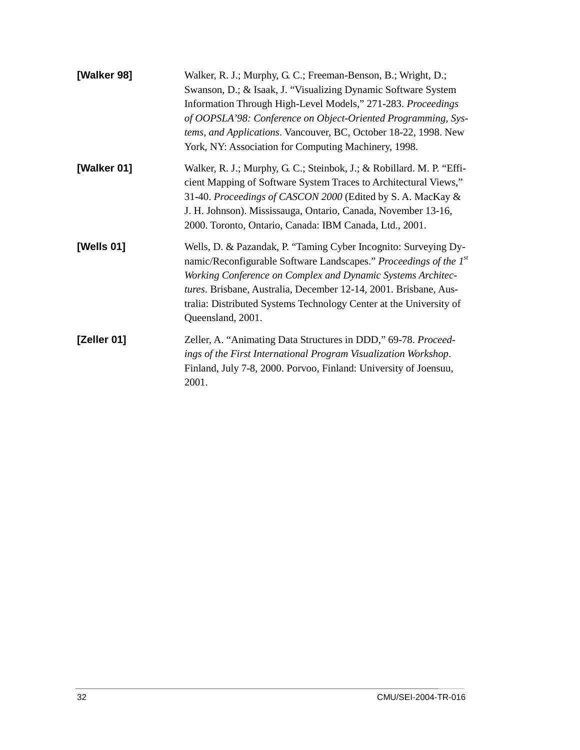| [Walker 98] | Walker, R. J.; Murphy, G. C.; Freeman-Benson, B.; Wright, D.;<br>Swanson, D.; & Isaak, J. "Visualizing Dynamic Software System<br>Information Through High-Level Models," 271-283. Proceedings<br>of OOPSLA'98: Conference on Object-Oriented Programming, Sys-<br>tems, and Applications. Vancouver, BC, October 18-22, 1998. New<br>York, NY: Association for Computing Machinery, 1998. |
|-------------|--------------------------------------------------------------------------------------------------------------------------------------------------------------------------------------------------------------------------------------------------------------------------------------------------------------------------------------------------------------------------------------------|
| [Walker 01] | Walker, R. J.; Murphy, G. C.; Steinbok, J.; & Robillard. M. P. "Effi-<br>cient Mapping of Software System Traces to Architectural Views,"<br>31-40. Proceedings of CASCON 2000 (Edited by S. A. MacKay &<br>J. H. Johnson). Mississauga, Ontario, Canada, November 13-16,<br>2000. Toronto, Ontario, Canada: IBM Canada, Ltd., 2001.                                                       |
| [Wells 01]  | Wells, D. & Pazandak, P. "Taming Cyber Incognito: Surveying Dy-<br>namic/Reconfigurable Software Landscapes." Proceedings of the 1st<br>Working Conference on Complex and Dynamic Systems Architec-<br>tures. Brisbane, Australia, December 12-14, 2001. Brisbane, Aus-<br>tralia: Distributed Systems Technology Center at the University of<br>Queensland, 2001.                         |
| [Zeller 01] | Zeller, A. "Animating Data Structures in DDD," 69-78. Proceed-<br>ings of the First International Program Visualization Workshop.<br>Finland, July 7-8, 2000. Porvoo, Finland: University of Joensuu,<br>2001.                                                                                                                                                                             |